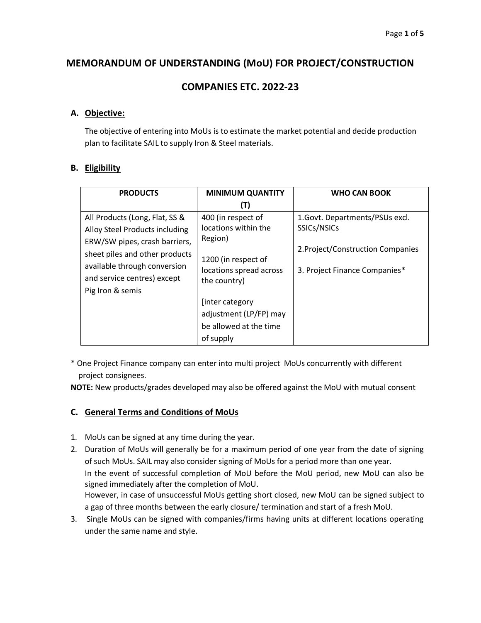# **MEMORANDUM OF UNDERSTANDING (MoU) FOR PROJECT/CONSTRUCTION**

# **COMPANIES ETC. 2022-23**

## **A. Objective:**

The objective of entering into MoUs is to estimate the market potential and decide production plan to facilitate SAIL to supply Iron & Steel materials.

## **B. Eligibility**

| <b>PRODUCTS</b>                                                                                                                                                                                                        | <b>MINIMUM QUANTITY</b>                                                          | <b>WHO CAN BOOK</b>                                                |  |  |
|------------------------------------------------------------------------------------------------------------------------------------------------------------------------------------------------------------------------|----------------------------------------------------------------------------------|--------------------------------------------------------------------|--|--|
|                                                                                                                                                                                                                        | (T)                                                                              |                                                                    |  |  |
| All Products (Long, Flat, SS &<br>Alloy Steel Products including<br>ERW/SW pipes, crash barriers,<br>sheet piles and other products<br>available through conversion<br>and service centres) except<br>Pig Iron & semis | 400 (in respect of<br>locations within the<br>Region)                            | 1. Govt. Departments/PSUs excl.<br>SSICs/NSICs                     |  |  |
|                                                                                                                                                                                                                        | 1200 (in respect of<br>locations spread across<br>the country)                   | 2. Project/Construction Companies<br>3. Project Finance Companies* |  |  |
|                                                                                                                                                                                                                        | [inter category<br>adjustment (LP/FP) may<br>be allowed at the time<br>of supply |                                                                    |  |  |

\* One Project Finance company can enter into multi project MoUs concurrently with different project consignees.

**NOTE:** New products/grades developed may also be offered against the MoU with mutual consent

## **C. General Terms and Conditions of MoUs**

- 1. MoUs can be signed at any time during the year.
- 2. Duration of MoUs will generally be for a maximum period of one year from the date of signing of such MoUs. SAIL may also consider signing of MoUs for a period more than one year. In the event of successful completion of MoU before the MoU period, new MoU can also be signed immediately after the completion of MoU. However, in case of unsuccessful MoUs getting short closed, new MoU can be signed subject to a gap of three months between the early closure/ termination and start of a fresh MoU.
- 3. Single MoUs can be signed with companies/firms having units at different locations operating under the same name and style.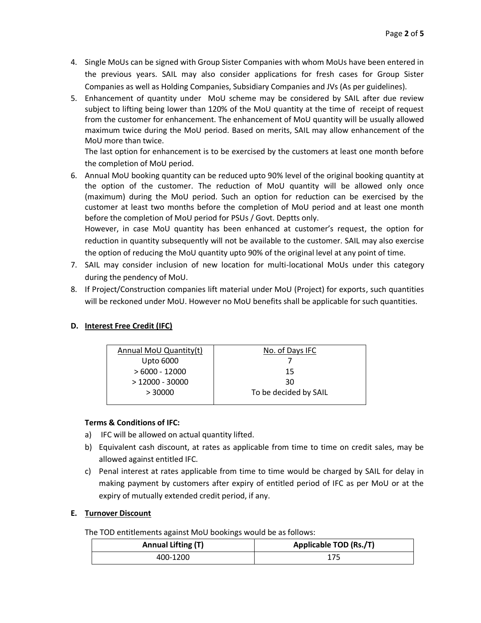- 4. Single MoUs can be signed with Group Sister Companies with whom MoUs have been entered in the previous years. SAIL may also consider applications for fresh cases for Group Sister Companies as well as Holding Companies, Subsidiary Companies and JVs (As per guidelines).
- 5. Enhancement of quantity under MoU scheme may be considered by SAIL after due review subject to lifting being lower than 120% of the MoU quantity at the time of receipt of request from the customer for enhancement. The enhancement of MoU quantity will be usually allowed maximum twice during the MoU period. Based on merits, SAIL may allow enhancement of the MoU more than twice.

The last option for enhancement is to be exercised by the customers at least one month before the completion of MoU period.

6. Annual MoU booking quantity can be reduced upto 90% level of the original booking quantity at the option of the customer. The reduction of MoU quantity will be allowed only once (maximum) during the MoU period. Such an option for reduction can be exercised by the customer at least two months before the completion of MoU period and at least one month before the completion of MoU period for PSUs / Govt. Deptts only.

However, in case MoU quantity has been enhanced at customer's request, the option for reduction in quantity subsequently will not be available to the customer. SAIL may also exercise the option of reducing the MoU quantity upto 90% of the original level at any point of time.

- 7. SAIL may consider inclusion of new location for multi-locational MoUs under this category during the pendency of MoU.
- 8. If Project/Construction companies lift material under MoU (Project) for exports, such quantities will be reckoned under MoU. However no MoU benefits shall be applicable for such quantities.

## **D. Interest Free Credit (IFC)**

| Annual MoU Quantity(t) | No. of Days IFC       |
|------------------------|-----------------------|
| <b>Upto 6000</b>       |                       |
| $>6000 - 12000$        | 15                    |
| $>12000 - 30000$       | 30                    |
| > 30000                | To be decided by SAIL |
|                        |                       |

### **Terms & Conditions of IFC:**

- a) IFC will be allowed on actual quantity lifted.
- b) Equivalent cash discount, at rates as applicable from time to time on credit sales, may be allowed against entitled IFC.
- c) Penal interest at rates applicable from time to time would be charged by SAIL for delay in making payment by customers after expiry of entitled period of IFC as per MoU or at the expiry of mutually extended credit period, if any.

### **E. Turnover Discount**

The TOD entitlements against MoU bookings would be as follows:

| <b>Annual Lifting (T)</b> | Applicable TOD (Rs./T) |  |  |
|---------------------------|------------------------|--|--|
| 400-1200                  |                        |  |  |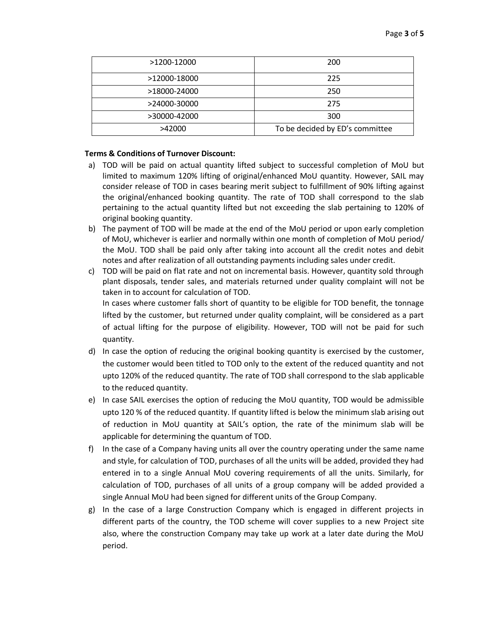| >1200-12000  | 200                             |  |  |
|--------------|---------------------------------|--|--|
| >12000-18000 | 225                             |  |  |
| >18000-24000 | 250                             |  |  |
| >24000-30000 | 275                             |  |  |
| >30000-42000 | 300                             |  |  |
| >42000       | To be decided by ED's committee |  |  |

#### **Terms & Conditions of Turnover Discount:**

- a) TOD will be paid on actual quantity lifted subject to successful completion of MoU but limited to maximum 120% lifting of original/enhanced MoU quantity. However, SAIL may consider release of TOD in cases bearing merit subject to fulfillment of 90% lifting against the original/enhanced booking quantity. The rate of TOD shall correspond to the slab pertaining to the actual quantity lifted but not exceeding the slab pertaining to 120% of original booking quantity.
- b) The payment of TOD will be made at the end of the MoU period or upon early completion of MoU, whichever is earlier and normally within one month of completion of MoU period/ the MoU. TOD shall be paid only after taking into account all the credit notes and debit notes and after realization of all outstanding payments including sales under credit.
- c) TOD will be paid on flat rate and not on incremental basis. However, quantity sold through plant disposals, tender sales, and materials returned under quality complaint will not be taken in to account for calculation of TOD. In cases where customer falls short of quantity to be eligible for TOD benefit, the tonnage lifted by the customer, but returned under quality complaint, will be considered as a part of actual lifting for the purpose of eligibility. However, TOD will not be paid for such quantity.
- d) In case the option of reducing the original booking quantity is exercised by the customer, the customer would been titled to TOD only to the extent of the reduced quantity and not upto 120% of the reduced quantity. The rate of TOD shall correspond to the slab applicable to the reduced quantity.
- e) In case SAIL exercises the option of reducing the MoU quantity, TOD would be admissible upto 120 % of the reduced quantity. If quantity lifted is below the minimum slab arising out of reduction in MoU quantity at SAIL's option, the rate of the minimum slab will be applicable for determining the quantum of TOD.
- f) In the case of a Company having units all over the country operating under the same name and style, for calculation of TOD, purchases of all the units will be added, provided they had entered in to a single Annual MoU covering requirements of all the units. Similarly, for calculation of TOD, purchases of all units of a group company will be added provided a single Annual MoU had been signed for different units of the Group Company.
- g) In the case of a large Construction Company which is engaged in different projects in different parts of the country, the TOD scheme will cover supplies to a new Project site also, where the construction Company may take up work at a later date during the MoU period.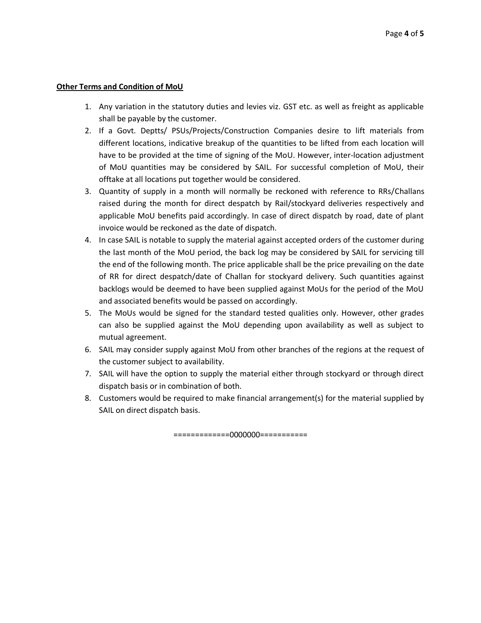#### **Other Terms and Condition of MoU**

- 1. Any variation in the statutory duties and levies viz. GST etc. as well as freight as applicable shall be payable by the customer.
- 2. If a Govt. Deptts/ PSUs/Projects/Construction Companies desire to lift materials from different locations, indicative breakup of the quantities to be lifted from each location will have to be provided at the time of signing of the MoU. However, inter-location adjustment of MoU quantities may be considered by SAIL. For successful completion of MoU, their offtake at all locations put together would be considered.
- 3. Quantity of supply in a month will normally be reckoned with reference to RRs/Challans raised during the month for direct despatch by Rail/stockyard deliveries respectively and applicable MoU benefits paid accordingly. In case of direct dispatch by road, date of plant invoice would be reckoned as the date of dispatch.
- 4. In case SAIL is notable to supply the material against accepted orders of the customer during the last month of the MoU period, the back log may be considered by SAIL for servicing till the end of the following month. The price applicable shall be the price prevailing on the date of RR for direct despatch/date of Challan for stockyard delivery. Such quantities against backlogs would be deemed to have been supplied against MoUs for the period of the MoU and associated benefits would be passed on accordingly.
- 5. The MoUs would be signed for the standard tested qualities only. However, other grades can also be supplied against the MoU depending upon availability as well as subject to mutual agreement.
- 6. SAIL may consider supply against MoU from other branches of the regions at the request of the customer subject to availability.
- 7. SAIL will have the option to supply the material either through stockyard or through direct dispatch basis or in combination of both.
- 8. Customers would be required to make financial arrangement(s) for the material supplied by SAIL on direct dispatch basis.

=============0000000===========